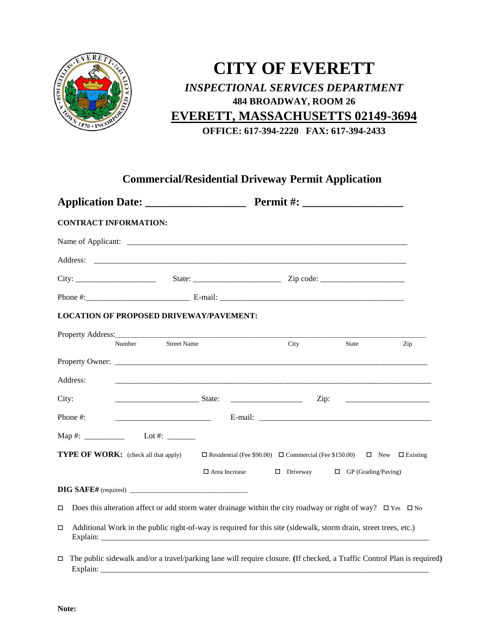

## **CITY OF EVERETT** *INSPECTIONAL SERVICES DEPARTMENT* **484 BROADWAY, ROOM 26 EVERETT, MASSACHUSETTS 02149-3694**

**OFFICE: 617-394-2220 FAX: 617-394-2433**

## **Commercial/Residential Driveway Permit Application**

| <b>CONTRACT INFORMATION:</b>                   |                                                                                                                                                                                                                                                                                                                                                                                                                                                                                 |  |  |  |  |  |
|------------------------------------------------|---------------------------------------------------------------------------------------------------------------------------------------------------------------------------------------------------------------------------------------------------------------------------------------------------------------------------------------------------------------------------------------------------------------------------------------------------------------------------------|--|--|--|--|--|
|                                                |                                                                                                                                                                                                                                                                                                                                                                                                                                                                                 |  |  |  |  |  |
|                                                |                                                                                                                                                                                                                                                                                                                                                                                                                                                                                 |  |  |  |  |  |
|                                                |                                                                                                                                                                                                                                                                                                                                                                                                                                                                                 |  |  |  |  |  |
|                                                |                                                                                                                                                                                                                                                                                                                                                                                                                                                                                 |  |  |  |  |  |
| <b>LOCATION OF PROPOSED DRIVEWAY/PAVEMENT:</b> |                                                                                                                                                                                                                                                                                                                                                                                                                                                                                 |  |  |  |  |  |
| Number Street Name                             | City<br>State<br>Zip                                                                                                                                                                                                                                                                                                                                                                                                                                                            |  |  |  |  |  |
|                                                |                                                                                                                                                                                                                                                                                                                                                                                                                                                                                 |  |  |  |  |  |
| Address:                                       |                                                                                                                                                                                                                                                                                                                                                                                                                                                                                 |  |  |  |  |  |
| City:<br><b>State:</b>                         | $\overline{\phantom{a}}$ $\overline{\phantom{a}}$ $\overline{\phantom{a}}$ $\overline{\phantom{a}}$ $\overline{\phantom{a}}$ $\overline{\phantom{a}}$ $\overline{\phantom{a}}$ $\overline{\phantom{a}}$ $\overline{\phantom{a}}$ $\overline{\phantom{a}}$ $\overline{\phantom{a}}$ $\overline{\phantom{a}}$ $\overline{\phantom{a}}$ $\overline{\phantom{a}}$ $\overline{\phantom{a}}$ $\overline{\phantom{a}}$ $\overline{\phantom{a}}$ $\overline{\phantom{a}}$ $\overline{\$ |  |  |  |  |  |
| Phone #:                                       |                                                                                                                                                                                                                                                                                                                                                                                                                                                                                 |  |  |  |  |  |
| Map #: ______________ Lot #: _______           |                                                                                                                                                                                                                                                                                                                                                                                                                                                                                 |  |  |  |  |  |
| <b>TYPE OF WORK:</b> (check all that apply)    | $\Box$ Residential (Fee \$90.00) $\Box$ Commercial (Fee \$150.00) $\Box$ New $\Box$ Existing                                                                                                                                                                                                                                                                                                                                                                                    |  |  |  |  |  |
|                                                | $\Box$ Area Increase $\Box$ Driveway $\Box$ GP (Grading/Paving)                                                                                                                                                                                                                                                                                                                                                                                                                 |  |  |  |  |  |
|                                                |                                                                                                                                                                                                                                                                                                                                                                                                                                                                                 |  |  |  |  |  |
| 0                                              | Does this alteration affect or add storm water drainage within the city roadway or right of way? $\square$ Yes $\square$ No                                                                                                                                                                                                                                                                                                                                                     |  |  |  |  |  |
| о                                              | Additional Work in the public right-of-way is required for this site (sidewalk, storm drain, street trees, etc.)                                                                                                                                                                                                                                                                                                                                                                |  |  |  |  |  |
| $\Box$<br>Explain:                             | The public sidewalk and/or a travel/parking lane will require closure. (If checked, a Traffic Control Plan is required)                                                                                                                                                                                                                                                                                                                                                         |  |  |  |  |  |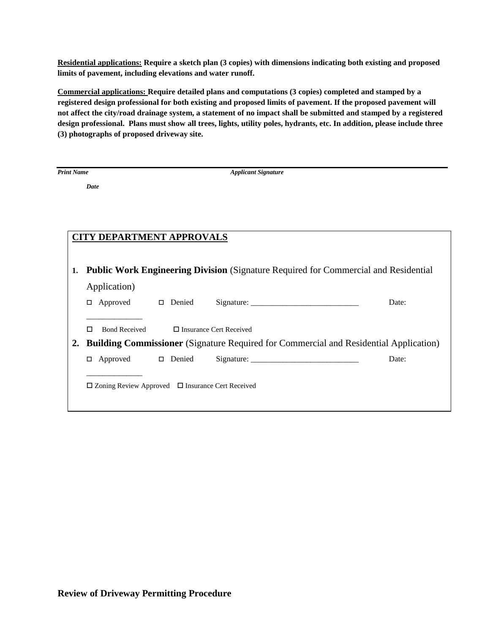**Residential applications: Require a sketch plan (3 copies) with dimensions indicating both existing and proposed limits of pavement, including elevations and water runoff.** 

**Commercial applications: Require detailed plans and computations (3 copies) completed and stamped by a registered design professional for both existing and proposed limits of pavement. If the proposed pavement will not affect the city/road drainage system, a statement of no impact shall be submitted and stamped by a registered design professional. Plans must show all trees, lights, utility poles, hydrants, etc. In addition, please include three (3) photographs of proposed driveway site.**

*Date*

*Print Name Applicant Signature*

| <b>CITY DEPARTMENT APPROVALS</b> |                                                                                              |  |                                                                                            |       |  |  |
|----------------------------------|----------------------------------------------------------------------------------------------|--|--------------------------------------------------------------------------------------------|-------|--|--|
|                                  |                                                                                              |  |                                                                                            |       |  |  |
|                                  |                                                                                              |  |                                                                                            |       |  |  |
| 1.                               |                                                                                              |  | <b>Public Work Engineering Division</b> (Signature Required for Commercial and Residential |       |  |  |
|                                  | Application)                                                                                 |  |                                                                                            |       |  |  |
|                                  | Approved $\Box$ Denied<br>0                                                                  |  |                                                                                            | Date: |  |  |
|                                  |                                                                                              |  |                                                                                            |       |  |  |
|                                  | <b>Bond Received</b><br>п                                                                    |  | $\Box$ Insurance Cert Received                                                             |       |  |  |
| $2_{\bullet}$                    | <b>Building Commissioner</b> (Signature Required for Commercial and Residential Application) |  |                                                                                            |       |  |  |
|                                  | Approved $\Box$ Denied<br>□                                                                  |  | Signature:                                                                                 | Date: |  |  |
|                                  |                                                                                              |  |                                                                                            |       |  |  |
|                                  | $\Box$ Zoning Review Approved $\Box$ Insurance Cert Received                                 |  |                                                                                            |       |  |  |
|                                  |                                                                                              |  |                                                                                            |       |  |  |
|                                  |                                                                                              |  |                                                                                            |       |  |  |